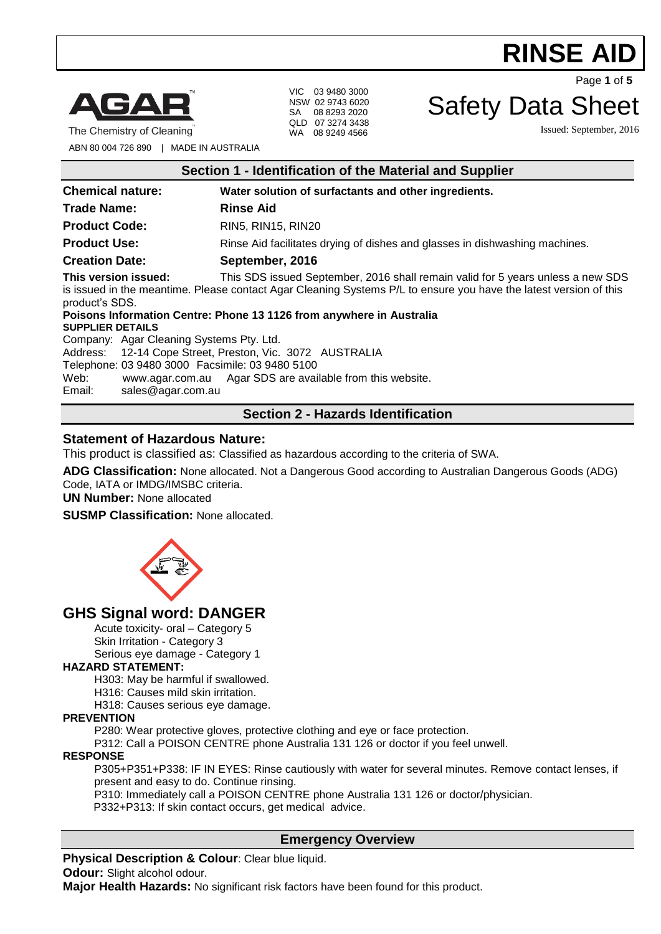

The Chemistry of Cleaning

VIC 03 9480 3000 NSW 02 9743 6020 SA 08 8293 2020 QLD 07 3274 3438 WA 08 9249 4566

Safety Data Sheet

Issued: September, 2016

Page **1** of **5**

ABN 80 004 726 890 | MADE IN AUSTRALIA

| Section 1 - Identification of the Material and Supplier                                                                                                                                                                                                     |                                                                             |
|-------------------------------------------------------------------------------------------------------------------------------------------------------------------------------------------------------------------------------------------------------------|-----------------------------------------------------------------------------|
| <b>Chemical nature:</b>                                                                                                                                                                                                                                     | Water solution of surfactants and other ingredients.                        |
| <b>Trade Name:</b>                                                                                                                                                                                                                                          | <b>Rinse Aid</b>                                                            |
| <b>Product Code:</b>                                                                                                                                                                                                                                        | RIN5, RIN15, RIN20                                                          |
| <b>Product Use:</b>                                                                                                                                                                                                                                         | Rinse Aid facilitates drying of dishes and glasses in dishwashing machines. |
| <b>Creation Date:</b>                                                                                                                                                                                                                                       | September, 2016                                                             |
| This version issued:<br>This SDS issued September, 2016 shall remain valid for 5 years unless a new SDS<br>is issued in the meantime. Please contact Agar Cleaning Systems P/L to ensure you have the latest version of this<br>product's SDS.              |                                                                             |
| Poisons Information Centre: Phone 13 1126 from anywhere in Australia<br><b>SUPPLIER DETAILS</b>                                                                                                                                                             |                                                                             |
| Company: Agar Cleaning Systems Pty. Ltd.<br>Address: 12-14 Cope Street, Preston, Vic. 3072 AUSTRALIA<br>Telephone: 03 9480 3000 Facsimile: 03 9480 5100<br>www.agar.com.au Agar SDS are available from this website.<br>Web:<br>Email:<br>sales@agar.com.au |                                                                             |
| <b>Section 2 - Hazards Identification</b>                                                                                                                                                                                                                   |                                                                             |

# **Statement of Hazardous Nature:**

This product is classified as: Classified as hazardous according to the criteria of SWA.

**ADG Classification:** None allocated. Not a Dangerous Good according to Australian Dangerous Goods (ADG) Code, IATA or IMDG/IMSBC criteria.

**UN Number:** None allocated

**SUSMP Classification:** None allocated.



# **GHS Signal word: DANGER**

Acute toxicity- oral – Category 5 Skin Irritation - Category 3

Serious eye damage - Category 1

#### **HAZARD STATEMENT:**

H303: May be harmful if swallowed.

H316: Causes mild skin irritation.

H318: Causes serious eye damage.

#### **PREVENTION**

P280: Wear protective gloves, protective clothing and eye or face protection.

P312: Call a POISON CENTRE phone Australia 131 126 or doctor if you feel unwell.

#### **RESPONSE**

P305+P351+P338: IF IN EYES: Rinse cautiously with water for several minutes. Remove contact lenses, if present and easy to do. Continue rinsing.

P310: Immediately call a POISON CENTRE phone Australia 131 126 or doctor/physician.

P332+P313: If skin contact occurs, get medical advice.

## **Emergency Overview**

**Physical Description & Colour: Clear blue liquid. Odour:** Slight alcohol odour.

**Major Health Hazards:** No significant risk factors have been found for this product.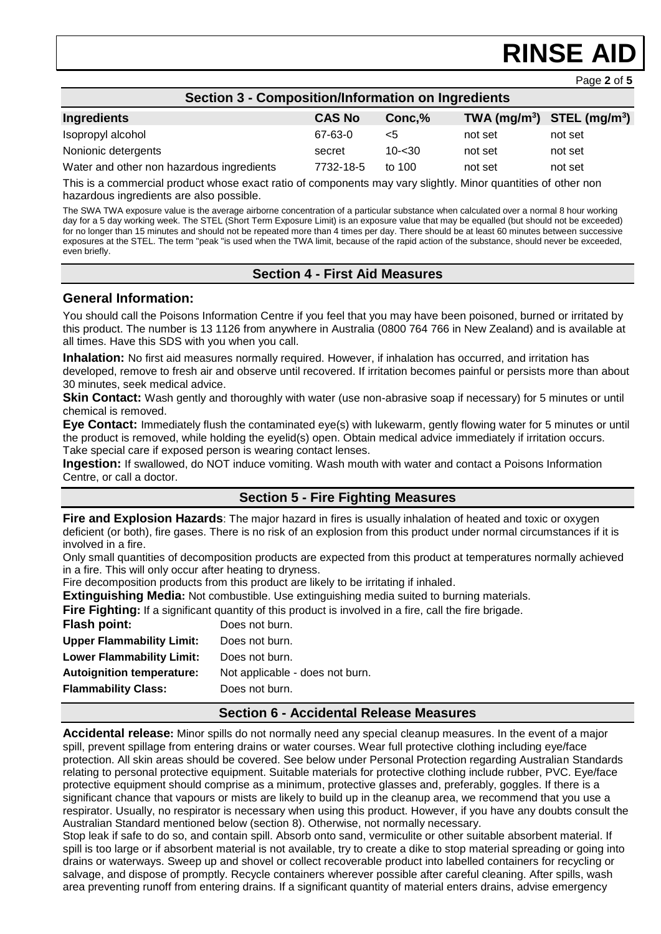Page **2** of **5**

| <b>Section 3 - Composition/Information on Ingredients</b> |               |           |         |                              |
|-----------------------------------------------------------|---------------|-----------|---------|------------------------------|
| Ingredients                                               | <b>CAS No</b> | Conc.%    |         | $TWA (mg/m3)$ STEL $(mg/m3)$ |
| Isopropyl alcohol                                         | 67-63-0       | $\leq 5$  | not set | not set                      |
| Nonionic detergents                                       | secret        | $10 - 30$ | not set | not set                      |
| Water and other non hazardous ingredients                 | 7732-18-5     | to $100$  | not set | not set                      |

This is a commercial product whose exact ratio of components may vary slightly. Minor quantities of other non hazardous ingredients are also possible.

The SWA TWA exposure value is the average airborne concentration of a particular substance when calculated over a normal 8 hour working day for a 5 day working week. The STEL (Short Term Exposure Limit) is an exposure value that may be equalled (but should not be exceeded) for no longer than 15 minutes and should not be repeated more than 4 times per day. There should be at least 60 minutes between successive exposures at the STEL. The term "peak "is used when the TWA limit, because of the rapid action of the substance, should never be exceeded, even briefly.

## **Section 4 - First Aid Measures**

#### **General Information:**

You should call the Poisons Information Centre if you feel that you may have been poisoned, burned or irritated by this product. The number is 13 1126 from anywhere in Australia (0800 764 766 in New Zealand) and is available at all times. Have this SDS with you when you call.

**Inhalation:** No first aid measures normally required. However, if inhalation has occurred, and irritation has developed, remove to fresh air and observe until recovered. If irritation becomes painful or persists more than about 30 minutes, seek medical advice.

**Skin Contact:** Wash gently and thoroughly with water (use non-abrasive soap if necessary) for 5 minutes or until chemical is removed.

**Eye Contact:** Immediately flush the contaminated eye(s) with lukewarm, gently flowing water for 5 minutes or until the product is removed, while holding the eyelid(s) open. Obtain medical advice immediately if irritation occurs. Take special care if exposed person is wearing contact lenses.

**Ingestion:** If swallowed, do NOT induce vomiting. Wash mouth with water and contact a Poisons Information Centre, or call a doctor.

## **Section 5 - Fire Fighting Measures**

**Fire and Explosion Hazards**: The major hazard in fires is usually inhalation of heated and toxic or oxygen deficient (or both), fire gases. There is no risk of an explosion from this product under normal circumstances if it is involved in a fire.

Only small quantities of decomposition products are expected from this product at temperatures normally achieved in a fire. This will only occur after heating to dryness.

Fire decomposition products from this product are likely to be irritating if inhaled.

**Extinguishing Media:** Not combustible. Use extinguishing media suited to burning materials.

**Fire Fighting:** If a significant quantity of this product is involved in a fire, call the fire brigade.

| <b>Flash point:</b>              | Does not burn.                  |
|----------------------------------|---------------------------------|
| <b>Upper Flammability Limit:</b> | Does not burn.                  |
| <b>Lower Flammability Limit:</b> | Does not burn.                  |
| <b>Autoignition temperature:</b> | Not applicable - does not burn. |
| <b>Flammability Class:</b>       | Does not burn.                  |
|                                  |                                 |

#### **Section 6 - Accidental Release Measures**

**Accidental release:** Minor spills do not normally need any special cleanup measures. In the event of a major spill, prevent spillage from entering drains or water courses. Wear full protective clothing including eye/face protection. All skin areas should be covered. See below under Personal Protection regarding Australian Standards relating to personal protective equipment. Suitable materials for protective clothing include rubber, PVC. Eye/face protective equipment should comprise as a minimum, protective glasses and, preferably, goggles. If there is a significant chance that vapours or mists are likely to build up in the cleanup area, we recommend that you use a respirator. Usually, no respirator is necessary when using this product. However, if you have any doubts consult the Australian Standard mentioned below (section 8). Otherwise, not normally necessary.

Stop leak if safe to do so, and contain spill. Absorb onto sand, vermiculite or other suitable absorbent material. If spill is too large or if absorbent material is not available, try to create a dike to stop material spreading or going into drains or waterways. Sweep up and shovel or collect recoverable product into labelled containers for recycling or salvage, and dispose of promptly. Recycle containers wherever possible after careful cleaning. After spills, wash area preventing runoff from entering drains. If a significant quantity of material enters drains, advise emergency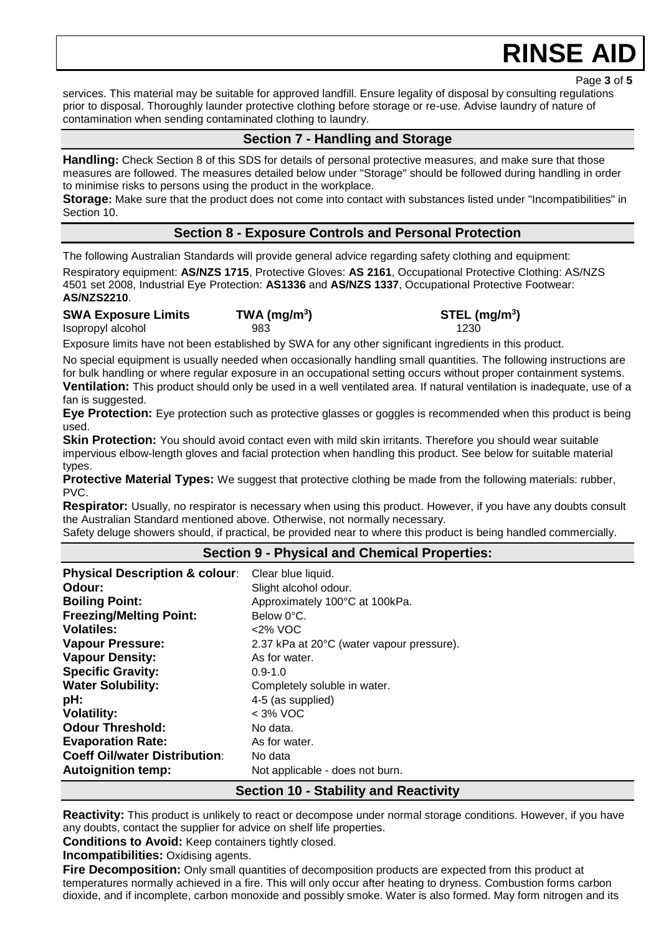Page **3** of **5**

services. This material may be suitable for approved landfill. Ensure legality of disposal by consulting regulations prior to disposal. Thoroughly launder protective clothing before storage or re-use. Advise laundry of nature of contamination when sending contaminated clothing to laundry.

## **Section 7 - Handling and Storage**

**Handling:** Check Section 8 of this SDS for details of personal protective measures, and make sure that those measures are followed. The measures detailed below under "Storage" should be followed during handling in order to minimise risks to persons using the product in the workplace.

**Storage:** Make sure that the product does not come into contact with substances listed under "Incompatibilities" in Section 10.

## **Section 8 - Exposure Controls and Personal Protection**

The following Australian Standards will provide general advice regarding safety clothing and equipment:

Respiratory equipment: **AS/NZS 1715**, Protective Gloves: **AS 2161**, Occupational Protective Clothing: AS/NZS 4501 set 2008, Industrial Eye Protection: **AS1336** and **AS/NZS 1337**, Occupational Protective Footwear: **AS/NZS2210**.

#### **SWA Exposure Limits TWA (mg/m<sup>3</sup>**

**) STEL (mg/m<sup>3</sup> )** Isopropyl alcohol 983 1230

Exposure limits have not been established by SWA for any other significant ingredients in this product.

No special equipment is usually needed when occasionally handling small quantities. The following instructions are for bulk handling or where regular exposure in an occupational setting occurs without proper containment systems. **Ventilation:** This product should only be used in a well ventilated area. If natural ventilation is inadequate, use of a fan is suggested.

**Eye Protection:** Eye protection such as protective glasses or goggles is recommended when this product is being used.

**Skin Protection:** You should avoid contact even with mild skin irritants. Therefore you should wear suitable impervious elbow-length gloves and facial protection when handling this product. See below for suitable material types.

**Protective Material Types:** We suggest that protective clothing be made from the following materials: rubber, PVC.

**Respirator:** Usually, no respirator is necessary when using this product. However, if you have any doubts consult the Australian Standard mentioned above. Otherwise, not normally necessary.

Safety deluge showers should, if practical, be provided near to where this product is being handled commercially.

#### **Section 9 - Physical and Chemical Properties:**

| <b>Physical Description &amp; colour:</b> | Clear blue liquid.                           |
|-------------------------------------------|----------------------------------------------|
| Odour:                                    | Slight alcohol odour.                        |
| <b>Boiling Point:</b>                     | Approximately 100°C at 100kPa.               |
| <b>Freezing/Melting Point:</b>            | Below 0°C.                                   |
| <b>Volatiles:</b>                         | <2% VOC                                      |
| <b>Vapour Pressure:</b>                   | 2.37 kPa at 20°C (water vapour pressure).    |
| <b>Vapour Density:</b>                    | As for water.                                |
| <b>Specific Gravity:</b>                  | $0.9 - 1.0$                                  |
| <b>Water Solubility:</b>                  | Completely soluble in water.                 |
| pH:                                       | 4-5 (as supplied)                            |
| <b>Volatility:</b>                        | $<$ 3% VOC                                   |
| <b>Odour Threshold:</b>                   | No data.                                     |
| <b>Evaporation Rate:</b>                  | As for water.                                |
| <b>Coeff Oil/water Distribution:</b>      | No data                                      |
| <b>Autoignition temp:</b>                 | Not applicable - does not burn.              |
|                                           | <b>Section 10 - Stability and Reactivity</b> |

**Reactivity:** This product is unlikely to react or decompose under normal storage conditions. However, if you have any doubts, contact the supplier for advice on shelf life properties.

**Conditions to Avoid:** Keep containers tightly closed.

**Incompatibilities:** Oxidising agents.

**Fire Decomposition:** Only small quantities of decomposition products are expected from this product at temperatures normally achieved in a fire. This will only occur after heating to dryness. Combustion forms carbon dioxide, and if incomplete, carbon monoxide and possibly smoke. Water is also formed. May form nitrogen and its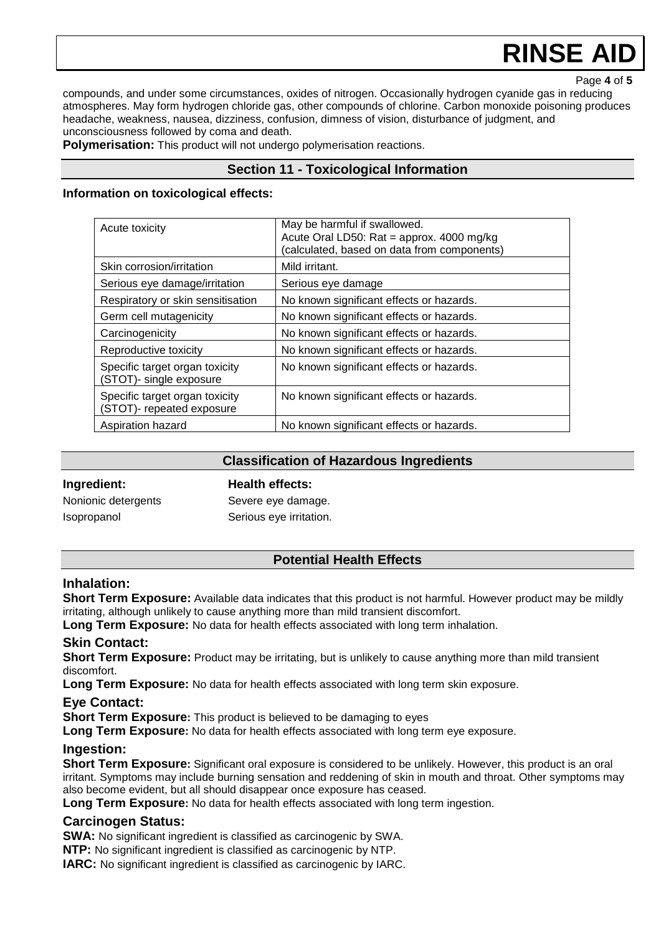Page **4** of **5**

compounds, and under some circumstances, oxides of nitrogen. Occasionally hydrogen cyanide gas in reducing atmospheres. May form hydrogen chloride gas, other compounds of chlorine. Carbon monoxide poisoning produces headache, weakness, nausea, dizziness, confusion, dimness of vision, disturbance of judgment, and unconsciousness followed by coma and death.

**Polymerisation:** This product will not undergo polymerisation reactions.

#### **Section 11 - Toxicological Information**

#### **Information on toxicological effects:**

| Acute toxicity                                              | May be harmful if swallowed.<br>Acute Oral LD50: Rat = approx. 4000 mg/kg<br>(calculated, based on data from components) |
|-------------------------------------------------------------|--------------------------------------------------------------------------------------------------------------------------|
| Skin corrosion/irritation                                   | Mild irritant.                                                                                                           |
| Serious eye damage/irritation                               | Serious eye damage                                                                                                       |
| Respiratory or skin sensitisation                           | No known significant effects or hazards.                                                                                 |
| Germ cell mutagenicity                                      | No known significant effects or hazards.                                                                                 |
| Carcinogenicity                                             | No known significant effects or hazards.                                                                                 |
| Reproductive toxicity                                       | No known significant effects or hazards.                                                                                 |
| Specific target organ toxicity<br>(STOT)- single exposure   | No known significant effects or hazards.                                                                                 |
| Specific target organ toxicity<br>(STOT)- repeated exposure | No known significant effects or hazards.                                                                                 |
| Aspiration hazard                                           | No known significant effects or hazards.                                                                                 |

| <b>Classification of Hazardous Ingredients</b> |                         |
|------------------------------------------------|-------------------------|
| Ingredient:                                    | <b>Health effects:</b>  |
| Nonionic detergents                            | Severe eye damage.      |
| <i>Isopropanol</i>                             | Serious eye irritation. |

## **Potential Health Effects**

#### **Inhalation:**

**Short Term Exposure:** Available data indicates that this product is not harmful. However product may be mildly irritating, although unlikely to cause anything more than mild transient discomfort.

Long Term Exposure: No data for health effects associated with long term inhalation.

#### **Skin Contact:**

**Short Term Exposure:** Product may be irritating, but is unlikely to cause anything more than mild transient discomfort.

**Long Term Exposure:** No data for health effects associated with long term skin exposure.

#### **Eye Contact:**

**Short Term Exposure:** This product is believed to be damaging to eyes

**Long Term Exposure:** No data for health effects associated with long term eye exposure.

#### **Ingestion:**

**Short Term Exposure:** Significant oral exposure is considered to be unlikely. However, this product is an oral irritant. Symptoms may include burning sensation and reddening of skin in mouth and throat. Other symptoms may also become evident, but all should disappear once exposure has ceased.

**Long Term Exposure:** No data for health effects associated with long term ingestion.

#### **Carcinogen Status:**

**SWA:** No significant ingredient is classified as carcinogenic by SWA.

**NTP:** No significant ingredient is classified as carcinogenic by NTP.

**IARC:** No significant ingredient is classified as carcinogenic by IARC.